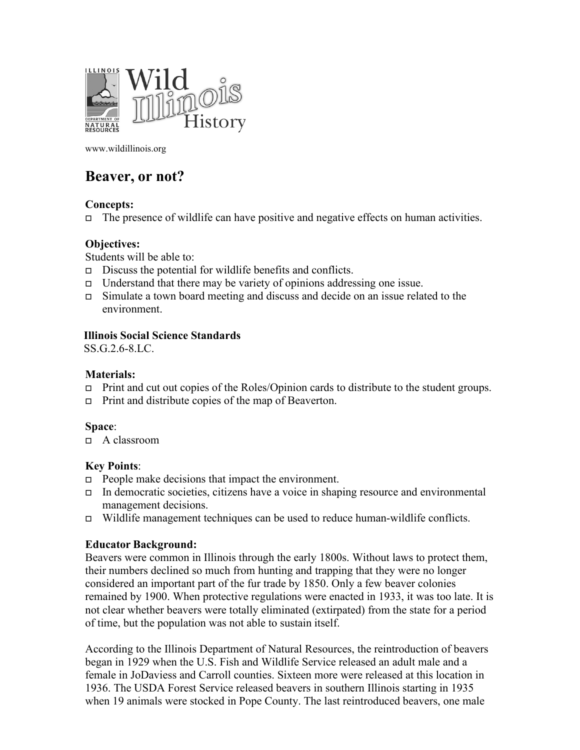

www.wildillinois.org

# **Beaver, or not?**

## **Concepts:**

The presence of wildlife can have positive and negative effects on human activities.

## **Objectives:**

Students will be able to:

- $\Box$  Discuss the potential for wildlife benefits and conflicts.
- $\Box$  Understand that there may be variety of opinions addressing one issue.
- Simulate a town board meeting and discuss and decide on an issue related to the environment.

## **Illinois Social Science Standards**

SS.G.2.6-8.LC.

## **Materials:**

- $\Box$  Print and cut out copies of the Roles/Opinion cards to distribute to the student groups.
- $\Box$  Print and distribute copies of the map of Beaverton.

## **Space**:

A classroom

## **Key Points**:

- $\Box$  People make decisions that impact the environment.
- In democratic societies, citizens have a voice in shaping resource and environmental management decisions.
- $\Box$  Wildlife management techniques can be used to reduce human-wildlife conflicts.

## **Educator Background:**

Beavers were common in Illinois through the early 1800s. Without laws to protect them, their numbers declined so much from hunting and trapping that they were no longer considered an important part of the fur trade by 1850. Only a few beaver colonies remained by 1900. When protective regulations were enacted in 1933, it was too late. It is not clear whether beavers were totally eliminated (extirpated) from the state for a period of time, but the population was not able to sustain itself.

According to the Illinois Department of Natural Resources, the reintroduction of beavers began in 1929 when the U.S. Fish and Wildlife Service released an adult male and a female in JoDaviess and Carroll counties. Sixteen more were released at this location in 1936. The USDA Forest Service released beavers in southern Illinois starting in 1935 when 19 animals were stocked in Pope County. The last reintroduced beavers, one male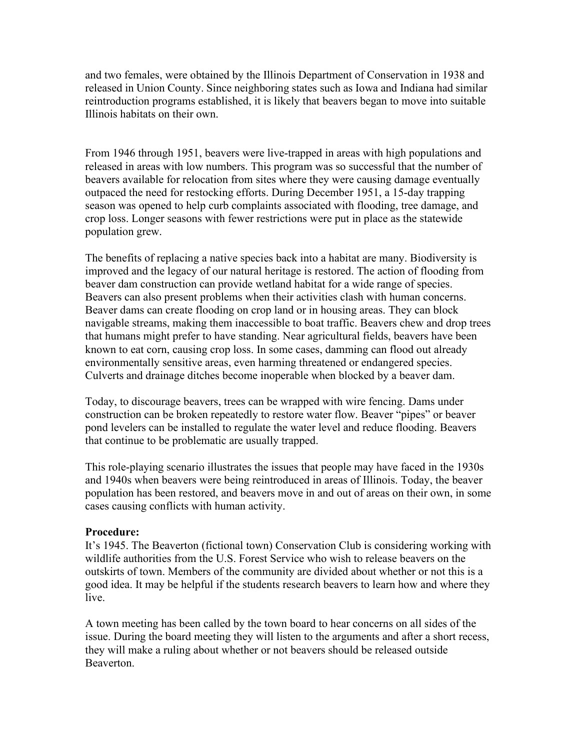and two females, were obtained by the Illinois Department of Conservation in 1938 and released in Union County. Since neighboring states such as Iowa and Indiana had similar reintroduction programs established, it is likely that beavers began to move into suitable Illinois habitats on their own.

From 1946 through 1951, beavers were live-trapped in areas with high populations and released in areas with low numbers. This program was so successful that the number of beavers available for relocation from sites where they were causing damage eventually outpaced the need for restocking efforts. During December 1951, a 15-day trapping season was opened to help curb complaints associated with flooding, tree damage, and crop loss. Longer seasons with fewer restrictions were put in place as the statewide population grew.

The benefits of replacing a native species back into a habitat are many. Biodiversity is improved and the legacy of our natural heritage is restored. The action of flooding from beaver dam construction can provide wetland habitat for a wide range of species. Beavers can also present problems when their activities clash with human concerns. Beaver dams can create flooding on crop land or in housing areas. They can block navigable streams, making them inaccessible to boat traffic. Beavers chew and drop trees that humans might prefer to have standing. Near agricultural fields, beavers have been known to eat corn, causing crop loss. In some cases, damming can flood out already environmentally sensitive areas, even harming threatened or endangered species. Culverts and drainage ditches become inoperable when blocked by a beaver dam.

Today, to discourage beavers, trees can be wrapped with wire fencing. Dams under construction can be broken repeatedly to restore water flow. Beaver "pipes" or beaver pond levelers can be installed to regulate the water level and reduce flooding. Beavers that continue to be problematic are usually trapped.

This role-playing scenario illustrates the issues that people may have faced in the 1930s and 1940s when beavers were being reintroduced in areas of Illinois. Today, the beaver population has been restored, and beavers move in and out of areas on their own, in some cases causing conflicts with human activity.

#### **Procedure:**

It's 1945. The Beaverton (fictional town) Conservation Club is considering working with wildlife authorities from the U.S. Forest Service who wish to release beavers on the outskirts of town. Members of the community are divided about whether or not this is a good idea. It may be helpful if the students research beavers to learn how and where they live.

A town meeting has been called by the town board to hear concerns on all sides of the issue. During the board meeting they will listen to the arguments and after a short recess, they will make a ruling about whether or not beavers should be released outside Beaverton.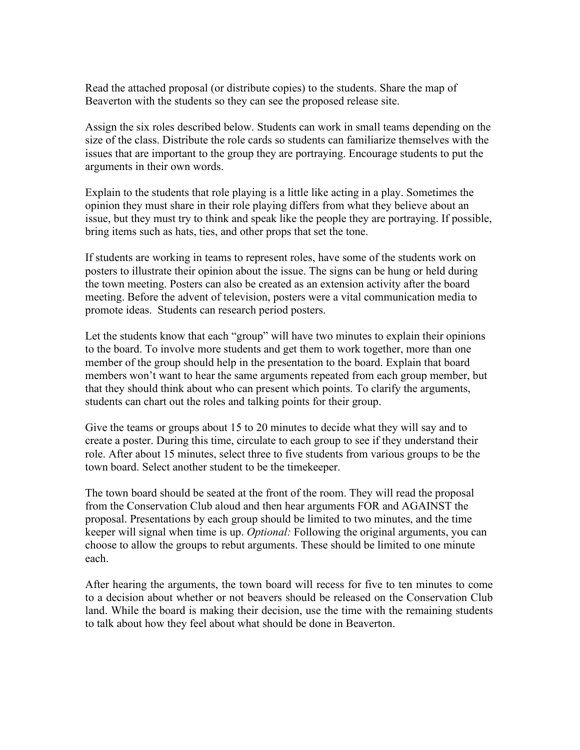Read the attached proposal (or distribute copies) to the students. Share the map of Beaverton with the students so they can see the proposed release site.

Assign the six roles described below. Students can work in small teams depending on the size of the class. Distribute the role cards so students can familiarize themselves with the issues that are important to the group they are portraying. Encourage students to put the arguments in their own words.

Explain to the students that role playing is a little like acting in a play. Sometimes the opinion they must share in their role playing differs from what they believe about an issue, but they must try to think and speak like the people they are portraying. If possible, bring items such as hats, ties, and other props that set the tone.

If students are working in teams to represent roles, have some of the students work on posters to illustrate their opinion about the issue. The signs can be hung or held during the town meeting. Posters can also be created as an extension activity after the board meeting. Before the advent of television, posters were a vital communication media to promote ideas. Students can research period posters.

Let the students know that each "group" will have two minutes to explain their opinions to the board. To involve more students and get them to work together, more than one member of the group should help in the presentation to the board. Explain that board members won't want to hear the same arguments repeated from each group member, but that they should think about who can present which points. To clarify the arguments, students can chart out the roles and talking points for their group.

Give the teams or groups about 15 to 20 minutes to decide what they will say and to create a poster. During this time, circulate to each group to see if they understand their role. After about 15 minutes, select three to five students from various groups to be the town board. Select another student to be the timekeeper.

The town board should be seated at the front of the room. They will read the proposal from the Conservation Club aloud and then hear arguments FOR and AGAINST the proposal. Presentations by each group should be limited to two minutes, and the time keeper will signal when time is up. *Optional:* Following the original arguments, you can choose to allow the groups to rebut arguments. These should be limited to one minute each.

After hearing the arguments, the town board will recess for five to ten minutes to come to a decision about whether or not beavers should be released on the Conservation Club land. While the board is making their decision, use the time with the remaining students to talk about how they feel about what should be done in Beaverton.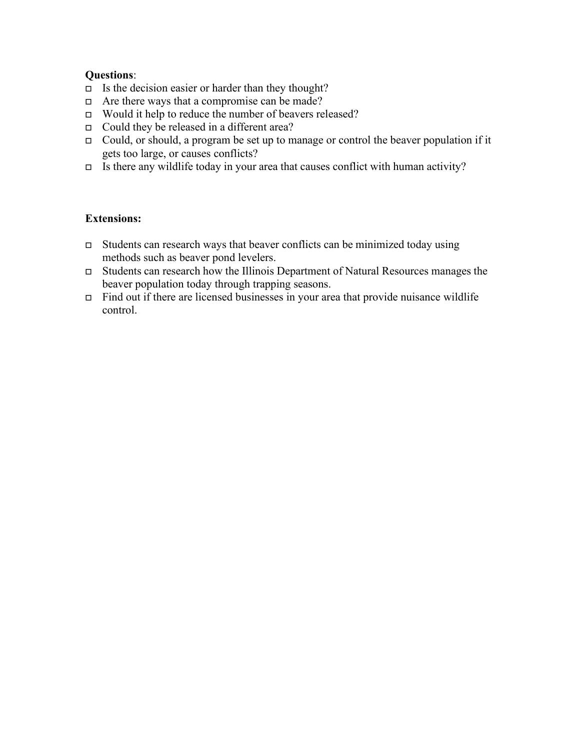## **Questions**:

- $\Box$  Is the decision easier or harder than they thought?
- $\Box$  Are there ways that a compromise can be made?
- Would it help to reduce the number of beavers released?
- Could they be released in a different area?
- Could, or should, a program be set up to manage or control the beaver population if it gets too large, or causes conflicts?
- Is there any wildlife today in your area that causes conflict with human activity?

## **Extensions:**

- Students can research ways that beaver conflicts can be minimized today using methods such as beaver pond levelers.
- Students can research how the Illinois Department of Natural Resources manages the beaver population today through trapping seasons.
- Find out if there are licensed businesses in your area that provide nuisance wildlife control.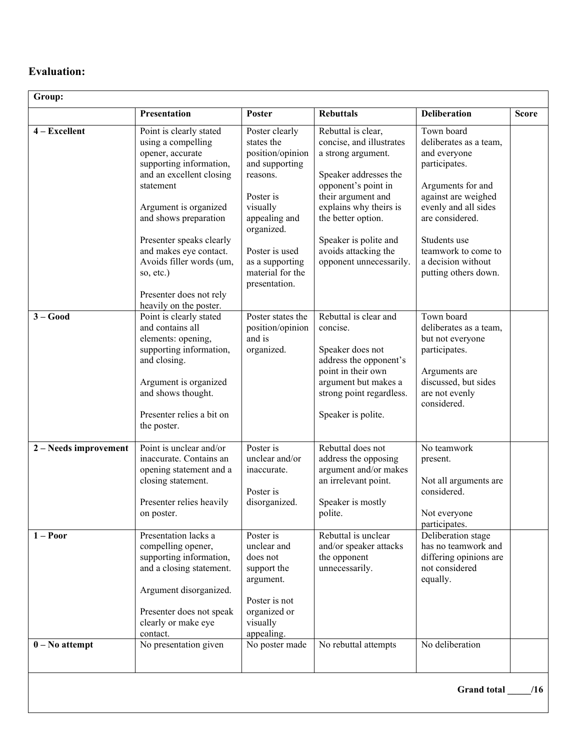## **Evaluation:**

| Group:                |                                                                                                                                                                                                                                                                                                                                             |                                                                                                                                                                                                                  |                                                                                                                                                                                                                                                                        |                                                                                                                                                                                                                                                   |              |
|-----------------------|---------------------------------------------------------------------------------------------------------------------------------------------------------------------------------------------------------------------------------------------------------------------------------------------------------------------------------------------|------------------------------------------------------------------------------------------------------------------------------------------------------------------------------------------------------------------|------------------------------------------------------------------------------------------------------------------------------------------------------------------------------------------------------------------------------------------------------------------------|---------------------------------------------------------------------------------------------------------------------------------------------------------------------------------------------------------------------------------------------------|--------------|
|                       | Presentation                                                                                                                                                                                                                                                                                                                                | Poster                                                                                                                                                                                                           | <b>Rebuttals</b>                                                                                                                                                                                                                                                       | <b>Deliberation</b>                                                                                                                                                                                                                               | <b>Score</b> |
| $4 - Excellent$       | Point is clearly stated<br>using a compelling<br>opener, accurate<br>supporting information,<br>and an excellent closing<br>statement<br>Argument is organized<br>and shows preparation<br>Presenter speaks clearly<br>and makes eye contact.<br>Avoids filler words (um,<br>so, etc.)<br>Presenter does not rely<br>heavily on the poster. | Poster clearly<br>states the<br>position/opinion<br>and supporting<br>reasons.<br>Poster is<br>visually<br>appealing and<br>organized.<br>Poster is used<br>as a supporting<br>material for the<br>presentation. | Rebuttal is clear,<br>concise, and illustrates<br>a strong argument.<br>Speaker addresses the<br>opponent's point in<br>their argument and<br>explains why theirs is<br>the better option.<br>Speaker is polite and<br>avoids attacking the<br>opponent unnecessarily. | Town board<br>deliberates as a team,<br>and everyone<br>participates.<br>Arguments for and<br>against are weighed<br>evenly and all sides<br>are considered.<br>Students use<br>teamwork to come to<br>a decision without<br>putting others down. |              |
| $3 - Good$            | Point is clearly stated<br>and contains all<br>elements: opening,<br>supporting information,<br>and closing.<br>Argument is organized<br>and shows thought.<br>Presenter relies a bit on<br>the poster.                                                                                                                                     | Poster states the<br>position/opinion<br>and is<br>organized.                                                                                                                                                    | Rebuttal is clear and<br>concise.<br>Speaker does not<br>address the opponent's<br>point in their own<br>argument but makes a<br>strong point regardless.<br>Speaker is polite.                                                                                        | Town board<br>deliberates as a team,<br>but not everyone<br>participates.<br>Arguments are<br>discussed, but sides<br>are not evenly<br>considered.                                                                                               |              |
| 2 – Needs improvement | Point is unclear and/or<br>inaccurate. Contains an<br>opening statement and a<br>closing statement.<br>Presenter relies heavily<br>on poster.                                                                                                                                                                                               | Poster is<br>unclear and/or<br>inaccurate.<br>Poster is<br>disorganized.                                                                                                                                         | Rebuttal does not<br>address the opposing<br>argument and/or makes<br>an irrelevant point.<br>Speaker is mostly<br>polite.                                                                                                                                             | No teamwork<br>present.<br>Not all arguments are<br>considered.<br>Not everyone<br>participates.                                                                                                                                                  |              |
| $1 - Poor$            | Presentation lacks a<br>compelling opener,<br>supporting information,<br>and a closing statement.<br>Argument disorganized.<br>Presenter does not speak<br>clearly or make eye<br>contact.                                                                                                                                                  | Poster is<br>unclear and<br>does not<br>support the<br>argument.<br>Poster is not<br>organized or<br>visually<br>appealing.                                                                                      | Rebuttal is unclear<br>and/or speaker attacks<br>the opponent<br>unnecessarily.                                                                                                                                                                                        | Deliberation stage<br>has no teamwork and<br>differing opinions are<br>not considered<br>equally.                                                                                                                                                 |              |
| $0 - No$ attempt      | No presentation given                                                                                                                                                                                                                                                                                                                       | No poster made                                                                                                                                                                                                   | No rebuttal attempts                                                                                                                                                                                                                                                   | No deliberation<br><b>Grand</b> total                                                                                                                                                                                                             | /16          |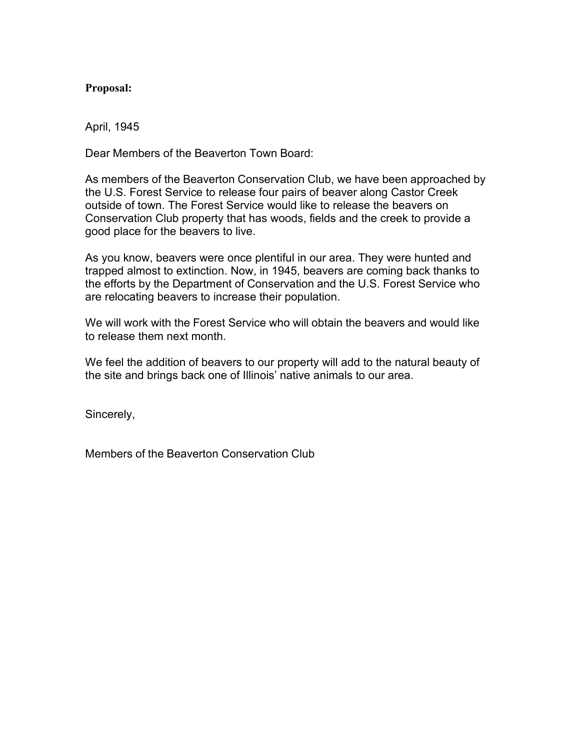## **Proposal:**

April, 1945

Dear Members of the Beaverton Town Board:

As members of the Beaverton Conservation Club, we have been approached by the U.S. Forest Service to release four pairs of beaver along Castor Creek outside of town. The Forest Service would like to release the beavers on Conservation Club property that has woods, fields and the creek to provide a good place for the beavers to live.

As you know, beavers were once plentiful in our area. They were hunted and trapped almost to extinction. Now, in 1945, beavers are coming back thanks to the efforts by the Department of Conservation and the U.S. Forest Service who are relocating beavers to increase their population.

We will work with the Forest Service who will obtain the beavers and would like to release them next month.

We feel the addition of beavers to our property will add to the natural beauty of the site and brings back one of Illinois' native animals to our area.

Sincerely,

Members of the Beaverton Conservation Club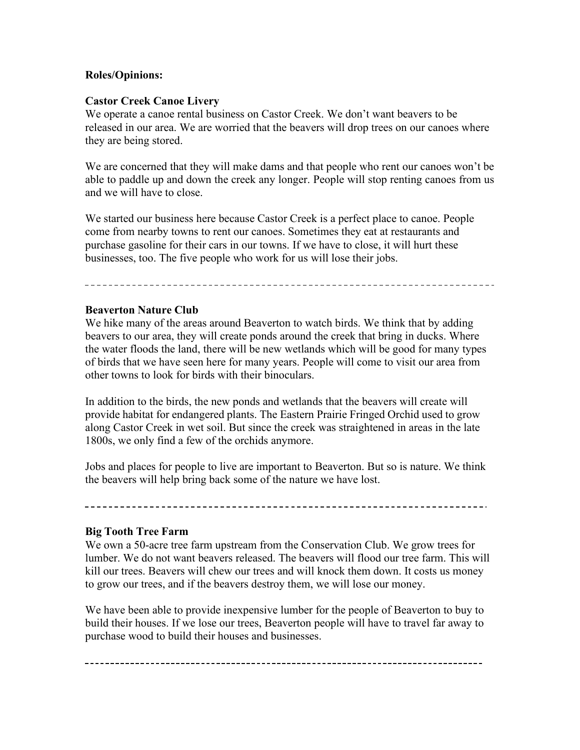## **Roles/Opinions:**

## **Castor Creek Canoe Livery**

We operate a canoe rental business on Castor Creek. We don't want beavers to be released in our area. We are worried that the beavers will drop trees on our canoes where they are being stored.

We are concerned that they will make dams and that people who rent our canoes won't be able to paddle up and down the creek any longer. People will stop renting canoes from us and we will have to close.

We started our business here because Castor Creek is a perfect place to canoe. People come from nearby towns to rent our canoes. Sometimes they eat at restaurants and purchase gasoline for their cars in our towns. If we have to close, it will hurt these businesses, too. The five people who work for us will lose their jobs.

## **Beaverton Nature Club**

We hike many of the areas around Beaverton to watch birds. We think that by adding beavers to our area, they will create ponds around the creek that bring in ducks. Where the water floods the land, there will be new wetlands which will be good for many types of birds that we have seen here for many years. People will come to visit our area from other towns to look for birds with their binoculars.

In addition to the birds, the new ponds and wetlands that the beavers will create will provide habitat for endangered plants. The Eastern Prairie Fringed Orchid used to grow along Castor Creek in wet soil. But since the creek was straightened in areas in the late 1800s, we only find a few of the orchids anymore.

Jobs and places for people to live are important to Beaverton. But so is nature. We think the beavers will help bring back some of the nature we have lost.

#### **Big Tooth Tree Farm**

We own a 50-acre tree farm upstream from the Conservation Club. We grow trees for lumber. We do not want beavers released. The beavers will flood our tree farm. This will kill our trees. Beavers will chew our trees and will knock them down. It costs us money to grow our trees, and if the beavers destroy them, we will lose our money.

We have been able to provide inexpensive lumber for the people of Beaverton to buy to build their houses. If we lose our trees, Beaverton people will have to travel far away to purchase wood to build their houses and businesses.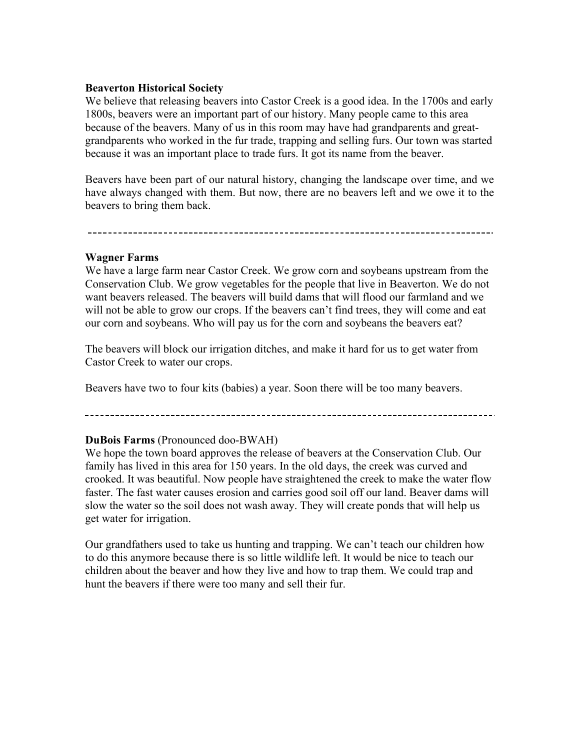## **Beaverton Historical Society**

We believe that releasing beavers into Castor Creek is a good idea. In the 1700s and early 1800s, beavers were an important part of our history. Many people came to this area because of the beavers. Many of us in this room may have had grandparents and greatgrandparents who worked in the fur trade, trapping and selling furs. Our town was started because it was an important place to trade furs. It got its name from the beaver.

Beavers have been part of our natural history, changing the landscape over time, and we have always changed with them. But now, there are no beavers left and we owe it to the beavers to bring them back.

#### **Wagner Farms**

We have a large farm near Castor Creek. We grow corn and soybeans upstream from the Conservation Club. We grow vegetables for the people that live in Beaverton. We do not want beavers released. The beavers will build dams that will flood our farmland and we will not be able to grow our crops. If the beavers can't find trees, they will come and eat our corn and soybeans. Who will pay us for the corn and soybeans the beavers eat?

The beavers will block our irrigation ditches, and make it hard for us to get water from Castor Creek to water our crops.

Beavers have two to four kits (babies) a year. Soon there will be too many beavers.

## **DuBois Farms** (Pronounced doo-BWAH)

We hope the town board approves the release of beavers at the Conservation Club. Our family has lived in this area for 150 years. In the old days, the creek was curved and crooked. It was beautiful. Now people have straightened the creek to make the water flow faster. The fast water causes erosion and carries good soil off our land. Beaver dams will slow the water so the soil does not wash away. They will create ponds that will help us get water for irrigation.

Our grandfathers used to take us hunting and trapping. We can't teach our children how to do this anymore because there is so little wildlife left. It would be nice to teach our children about the beaver and how they live and how to trap them. We could trap and hunt the beavers if there were too many and sell their fur.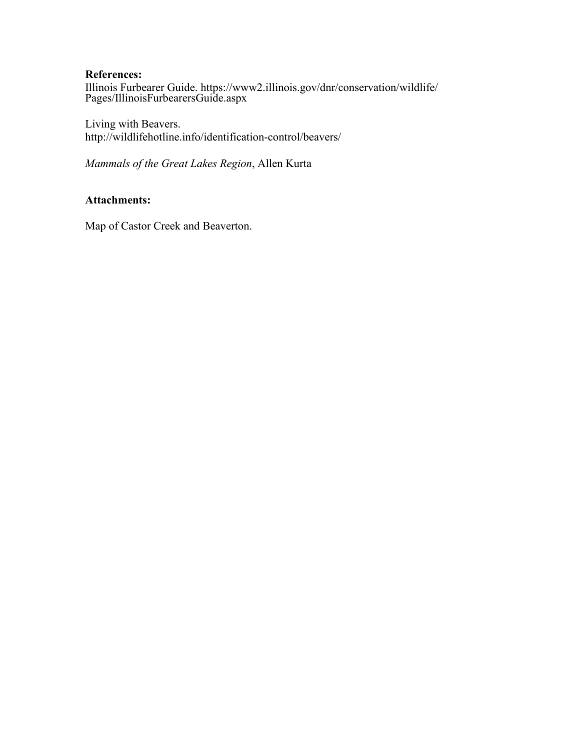#### **References:**

[Illinois Furbearer Guide. https://www2.illinois.gov/dnr/conservation/wildlife/](https://www2.illinois.gov/dnr/conservation/wildlife/Pages/IllinoisFurbearersGuide.aspx) [Pages/IllinoisFurbearersGuide.aspx](https://www2.illinois.gov/dnr/conservation/wildlife/Pages/IllinoisFurbearersGuide.aspx)

Living with Beavers. [http://wildlifehotline.info/identification-control/beavers/](http://www.entm.purdue.edu/wildlife/Living%20with%20Beavers.pdf)

*Mammals of the Great Lakes Region*, Allen Kurta

## **Attachments:**

Map of Castor Creek and Beaverton.